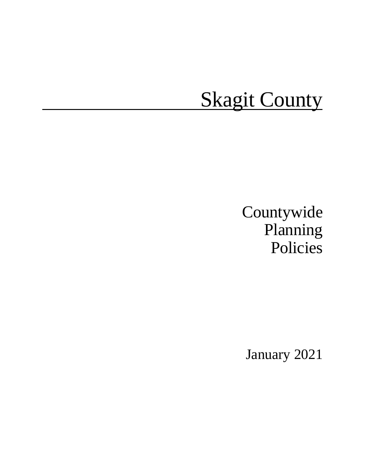# **Skagit County**

# Countywide Planning Policies

January 2021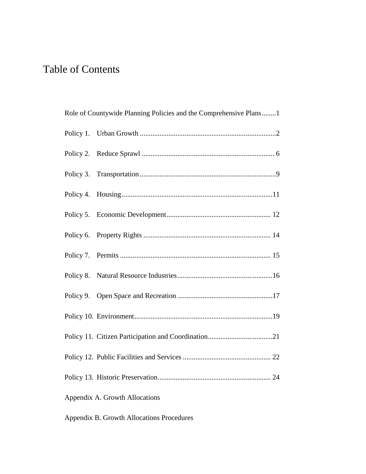## Table of Contents

|                                | Role of Countywide Planning Policies and the Comprehensive Plans1 |  |  |  |
|--------------------------------|-------------------------------------------------------------------|--|--|--|
|                                |                                                                   |  |  |  |
|                                |                                                                   |  |  |  |
|                                |                                                                   |  |  |  |
|                                |                                                                   |  |  |  |
|                                |                                                                   |  |  |  |
|                                |                                                                   |  |  |  |
|                                |                                                                   |  |  |  |
|                                |                                                                   |  |  |  |
|                                |                                                                   |  |  |  |
|                                |                                                                   |  |  |  |
|                                |                                                                   |  |  |  |
|                                |                                                                   |  |  |  |
|                                |                                                                   |  |  |  |
| Appendix A. Growth Allocations |                                                                   |  |  |  |

Appendix B. Growth Allocations Procedures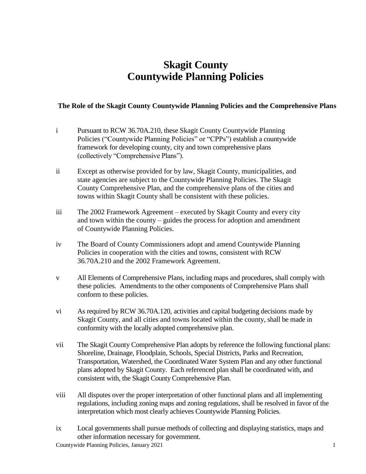### **Skagit County Countywide Planning Policies**

#### **The Role of the Skagit County Countywide Planning Policies and the Comprehensive Plans**

- i Pursuant to RCW 36.70A.210, these Skagit County Countywide Planning Policies ("Countywide Planning Policies" or "CPPs") establish a countywide framework for developing county, city and town comprehensive plans (collectively "Comprehensive Plans").
- ii Except as otherwise provided for by law, Skagit County, municipalities, and state agencies are subject to the Countywide Planning Policies. The Skagit County Comprehensive Plan, and the comprehensive plans of the cities and towns within Skagit County shall be consistent with these policies.
- iii The 2002 Framework Agreement executed by Skagit County and every city and town within the county – guides the process for adoption and amendment of Countywide Planning Policies.
- iv The Board of County Commissioners adopt and amend Countywide Planning Policies in cooperation with the cities and towns, consistent with RCW 36.70A.210 and the 2002 Framework Agreement.
- v All Elements of Comprehensive Plans, including maps and procedures, shall comply with these policies. Amendments to the other components of Comprehensive Plans shall conform to these policies.
- vi As required by RCW 36.70A.120, activities and capital budgeting decisions made by Skagit County, and all cities and towns located within the county, shall be made in conformity with the locally adopted comprehensive plan.
- vii The Skagit County Comprehensive Plan adopts by reference the following functional plans: Shoreline, Drainage, Floodplain, Schools, Special Districts, Parks and Recreation, Transportation, Watershed, the Coordinated Water System Plan and any other functional plans adopted by Skagit County. Each referenced plan shall be coordinated with, and consistent with, the Skagit County Comprehensive Plan.
- viii All disputes over the proper interpretation of other functional plans and all implementing regulations, including zoning maps and zoning regulations, shall be resolved in favor of the interpretation which most clearly achieves Countywide Planning Policies.
- ix Local governments shall pursue methods of collecting and displaying statistics, maps and other information necessary for government.

Countywide Planning Policies, January 2021 1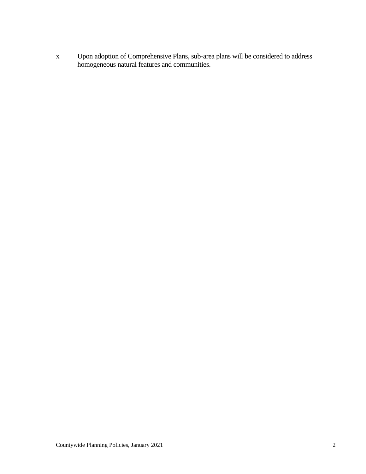x Upon adoption of Comprehensive Plans, sub-area plans will be considered to address homogeneous natural features and communities.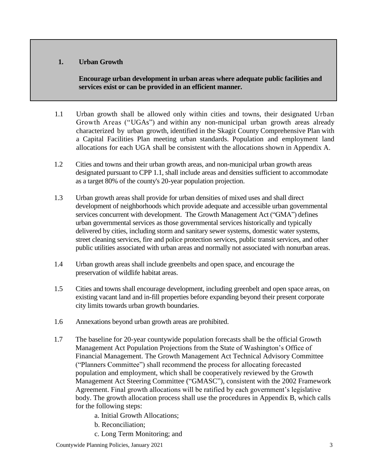#### **1. Urban Growth**

**Encourage urban development in urban areas where adequate public facilities and services exist or can be provided in an efficient manner.**

- 1.1 Urban growth shall be allowed only within cities and towns, their designated Urban Growth Areas ("UGAs") and within any non-municipal urban growth areas already characterized by urban growth, identified in the Skagit County Comprehensive Plan with a Capital Facilities Plan meeting urban standards. Population and employment land allocations for each UGA shall be consistent with the allocations shown in Appendix A.
- 1.2 Cities and towns and their urban growth areas, and non-municipal urban growth areas designated pursuant to CPP 1.1, shall include areas and densities sufficient to accommodate as a target 80% of the county's 20-year population projection.
- 1.3 Urban growth areas shall provide for urban densities of mixed uses and shall direct development of neighborhoods which provide adequate and accessible urban governmental services concurrent with development. The Growth Management Act ("GMA") defines urban governmental services as those governmental services historically and typically delivered by cities, including storm and sanitary sewer systems, domestic water systems, street cleaning services, fire and police protection services, public transit services, and other public utilities associated with urban areas and normally not associated with nonurban areas.
- 1.4 Urban growth areas shall include greenbelts and open space, and encourage the preservation of wildlife habitat areas.
- 1.5 Cities and towns shall encourage development, including greenbelt and open space areas, on existing vacant land and in-fill properties before expanding beyond their present corporate city limits towards urban growth boundaries.
- 1.6 Annexations beyond urban growth areas are prohibited.
- 1.7 The baseline for 20-year countywide population forecasts shall be the official Growth Management Act Population Projections from the State of Washington's Office of Financial Management. The Growth Management Act Technical Advisory Committee ("Planners Committee") shall recommend the process for allocating forecasted population and employment, which shall be cooperatively reviewed by the Growth Management Act Steering Committee ("GMASC"), consistent with the 2002 Framework Agreement. Final growth allocations will be ratified by each government's legislative body. The growth allocation process shall use the procedures in Appendix B, which calls for the following steps:
	- a. Initial Growth Allocations;
	- b. Reconciliation;
	- c. Long Term Monitoring; and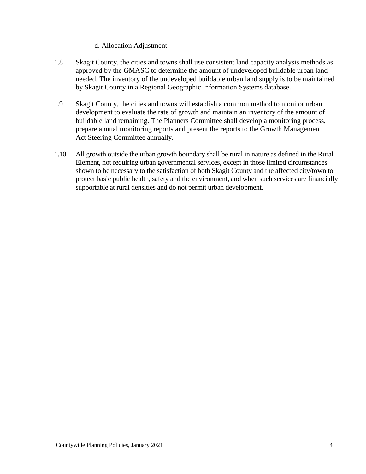#### d. Allocation Adjustment.

- 1.8 Skagit County, the cities and towns shall use consistent land capacity analysis methods as approved by the GMASC to determine the amount of undeveloped buildable urban land needed. The inventory of the undeveloped buildable urban land supply is to be maintained by Skagit County in a Regional Geographic Information Systems database.
- 1.9 Skagit County, the cities and towns will establish a common method to monitor urban development to evaluate the rate of growth and maintain an inventory of the amount of buildable land remaining. The Planners Committee shall develop a monitoring process, prepare annual monitoring reports and present the reports to the Growth Management Act Steering Committee annually.
- 1.10 All growth outside the urban growth boundary shall be rural in nature as defined in the Rural Element, not requiring urban governmental services, except in those limited circumstances shown to be necessary to the satisfaction of both Skagit County and the affected city/town to protect basic public health, safety and the environment, and when such services are financially supportable at rural densities and do not permit urban development.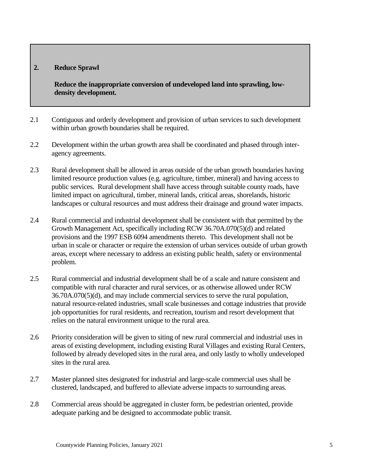#### **2. Reduce Sprawl**

**Reduce the inappropriate conversion of undeveloped land into sprawling, lowdensity development.**

- 2.1 Contiguous and orderly development and provision of urban services to such development within urban growth boundaries shall be required.
- 2.2 Development within the urban growth area shall be coordinated and phased through interagency agreements.
- 2.3 Rural development shall be allowed in areas outside of the urban growth boundaries having limited resource production values (e.g. agriculture, timber, mineral) and having access to public services. Rural development shall have access through suitable county roads, have limited impact on agricultural, timber, mineral lands, critical areas, shorelands, historic landscapes or cultural resources and must address their drainage and ground water impacts.
- 2.4 Rural commercial and industrial development shall be consistent with that permitted by the Growth Management Act, specifically including RCW 36.70A.070(5)(d) and related provisions and the 1997 ESB 6094 amendments thereto. This development shall not be urban in scale or character or require the extension of urban services outside of urban growth areas, except where necessary to address an existing public health, safety or environmental problem.
- 2.5 Rural commercial and industrial development shall be of a scale and nature consistent and compatible with rural character and rural services, or as otherwise allowed under RCW 36.70A.070(5)(d), and may include commercial services to serve the rural population, natural resource-related industries, small scale businesses and cottage industries that provide job opportunities for rural residents, and recreation, tourism and resort development that relies on the natural environment unique to the rural area.
- 2.6 Priority consideration will be given to siting of new rural commercial and industrial uses in areas of existing development, including existing Rural Villages and existing Rural Centers, followed by already developed sites in the rural area, and only lastly to wholly undeveloped sites in the rural area.
- 2.7 Master planned sites designated for industrial and large-scale commercial uses shall be clustered, landscaped, and buffered to alleviate adverse impacts to surrounding areas.
- 2.8 Commercial areas should be aggregated in cluster form, be pedestrian oriented, provide adequate parking and be designed to accommodate public transit.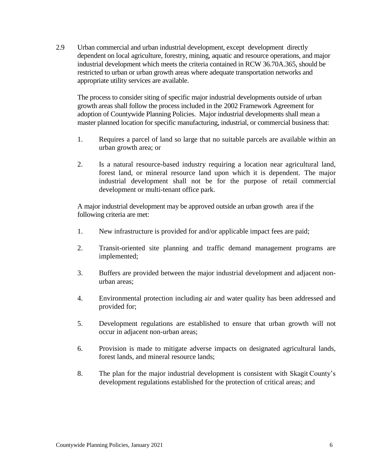2.9 Urban commercial and urban industrial development, except development directly dependent on local agriculture, forestry, mining, aquatic and resource operations, and major industrial development which meets the criteria contained in RCW 36.70A.365, should be restricted to urban or urban growth areas where adequate transportation networks and appropriate utility services are available.

The process to consider siting of specific major industrial developments outside of urban growth areas shall follow the process included in the 2002 Framework Agreement for adoption of Countywide Planning Policies. Major industrial developments shall mean a master planned location for specific manufacturing, industrial, or commercial business that:

- 1. Requires a parcel of land so large that no suitable parcels are available within an urban growth area; or
- 2. Is a natural resource-based industry requiring a location near agricultural land, forest land, or mineral resource land upon which it is dependent. The major industrial development shall not be for the purpose of retail commercial development or multi-tenant office park.

A major industrial development may be approved outside an urban growth area if the following criteria are met:

- 1. New infrastructure is provided for and/or applicable impact fees are paid;
- 2. Transit-oriented site planning and traffic demand management programs are implemented;
- 3. Buffers are provided between the major industrial development and adjacent nonurban areas;
- 4. Environmental protection including air and water quality has been addressed and provided for;
- 5. Development regulations are established to ensure that urban growth will not occur in adjacent non-urban areas;
- 6. Provision is made to mitigate adverse impacts on designated agricultural lands, forest lands, and mineral resource lands;
- 8. The plan for the major industrial development is consistent with Skagit County's development regulations established for the protection of critical areas; and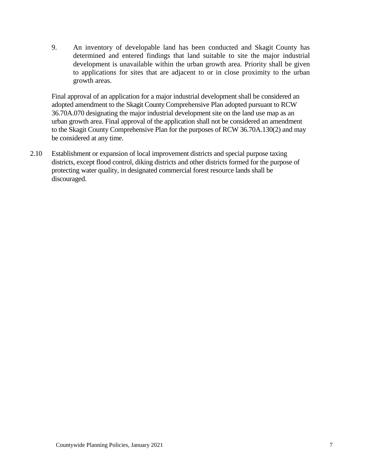9. An inventory of developable land has been conducted and Skagit County has determined and entered findings that land suitable to site the major industrial development is unavailable within the urban growth area. Priority shall be given to applications for sites that are adjacent to or in close proximity to the urban growth areas.

Final approval of an application for a major industrial development shall be considered an adopted amendment to the Skagit County Comprehensive Plan adopted pursuant to RCW 36.70A.070 designating the major industrial development site on the land use map as an urban growth area. Final approval of the application shall not be considered an amendment to the Skagit County Comprehensive Plan for the purposes of RCW 36.70A.130(2) and may be considered at any time.

2.10 Establishment or expansion of local improvement districts and special purpose taxing districts, except flood control, diking districts and other districts formed for the purpose of protecting water quality, in designated commercial forest resource lands shall be discouraged.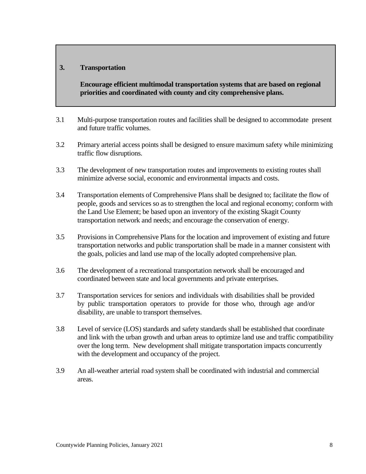#### **3. Transportation**

**Encourage efficient multimodal transportation systems that are based on regional priorities and coordinated with county and city comprehensive plans.**

- 3.1 Multi-purpose transportation routes and facilities shall be designed to accommodate present and future traffic volumes.
- 3.2 Primary arterial access points shall be designed to ensure maximum safety while minimizing traffic flow disruptions.
- 3.3 The development of new transportation routes and improvements to existing routes shall minimize adverse social, economic and environmental impacts and costs.
- 3.4 Transportation elements of Comprehensive Plans shall be designed to; facilitate the flow of people, goods and services so as to strengthen the local and regional economy; conform with the Land Use Element; be based upon an inventory of the existing Skagit County transportation network and needs; and encourage the conservation of energy.
- 3.5 Provisions in Comprehensive Plans for the location and improvement of existing and future transportation networks and public transportation shall be made in a manner consistent with the goals, policies and land use map of the locally adopted comprehensive plan.
- 3.6 The development of a recreational transportation network shall be encouraged and coordinated between state and local governments and private enterprises.
- 3.7 Transportation services for seniors and individuals with disabilities shall be provided by public transportation operators to provide for those who, through age and/or disability, are unable to transport themselves.
- 3.8 Level of service (LOS) standards and safety standards shall be established that coordinate and link with the urban growth and urban areas to optimize land use and traffic compatibility over the long term. New development shall mitigate transportation impacts concurrently with the development and occupancy of the project.
- 3.9 An all-weather arterial road system shall be coordinated with industrial and commercial areas.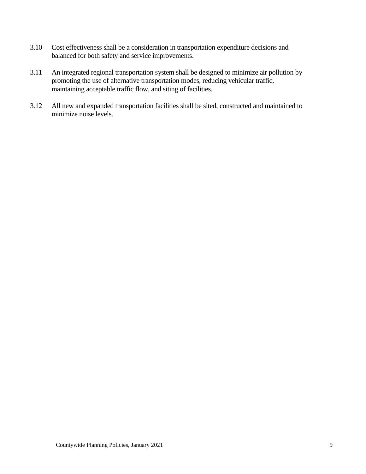- 3.10 Cost effectiveness shall be a consideration in transportation expenditure decisions and balanced for both safety and service improvements.
- 3.11 An integrated regional transportation system shall be designed to minimize air pollution by promoting the use of alternative transportation modes, reducing vehicular traffic, maintaining acceptable traffic flow, and siting of facilities.
- 3.12 All new and expanded transportation facilities shall be sited, constructed and maintained to minimize noise levels.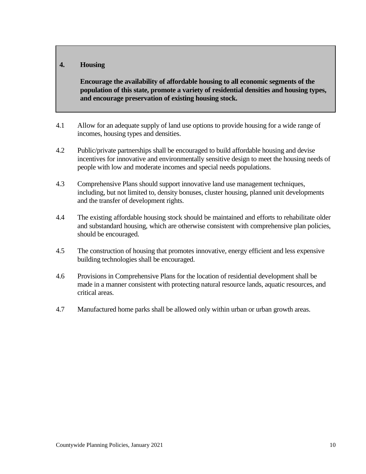#### **4. Housing**

**Encourage the availability of affordable housing to all economic segments of the population of this state, promote a variety of residential densities and housing types, and encourage preservation of existing housing stock.**

- 4.1 Allow for an adequate supply of land use options to provide housing for a wide range of incomes, housing types and densities.
- 4.2 Public/private partnerships shall be encouraged to build affordable housing and devise incentives for innovative and environmentally sensitive design to meet the housing needs of people with low and moderate incomes and special needs populations.
- 4.3 Comprehensive Plans should support innovative land use management techniques, including, but not limited to, density bonuses, cluster housing, planned unit developments and the transfer of development rights.
- 4.4 The existing affordable housing stock should be maintained and efforts to rehabilitate older and substandard housing, which are otherwise consistent with comprehensive plan policies, should be encouraged.
- 4.5 The construction of housing that promotes innovative, energy efficient and less expensive building technologies shall be encouraged.
- 4.6 Provisions in Comprehensive Plans for the location of residential development shall be made in a manner consistent with protecting natural resource lands, aquatic resources, and critical areas.
- 4.7 Manufactured home parks shall be allowed only within urban or urban growth areas.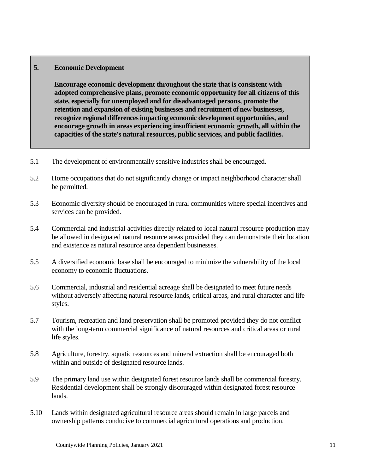#### **5. Economic Development**

**Encourage economic development throughout the state that is consistent with adopted comprehensive plans, promote economic opportunity for all citizens of this state, especially for unemployed and for disadvantaged persons, promote the retention and expansion of existing businesses and recruitment of new businesses, recognize regional differences impacting economic development opportunities, and encourage growth in areas experiencing insufficient economic growth, all within the capacities of the state's natural resources, public services, and public facilities.**

- 5.1 The development of environmentally sensitive industries shall be encouraged.
- 5.2 Home occupations that do not significantly change or impact neighborhood character shall be permitted.
- 5.3 Economic diversity should be encouraged in rural communities where special incentives and services can be provided.
- 5.4 Commercial and industrial activities directly related to local natural resource production may be allowed in designated natural resource areas provided they can demonstrate their location and existence as natural resource area dependent businesses.
- 5.5 A diversified economic base shall be encouraged to minimize the vulnerability of the local economy to economic fluctuations.
- 5.6 Commercial, industrial and residential acreage shall be designated to meet future needs without adversely affecting natural resource lands, critical areas, and rural character and life styles.
- 5.7 Tourism, recreation and land preservation shall be promoted provided they do not conflict with the long-term commercial significance of natural resources and critical areas or rural life styles.
- 5.8 Agriculture, forestry, aquatic resources and mineral extraction shall be encouraged both within and outside of designated resource lands.
- 5.9 The primary land use within designated forest resource lands shall be commercial forestry. Residential development shall be strongly discouraged within designated forest resource lands.
- 5.10 Lands within designated agricultural resource areas should remain in large parcels and ownership patterns conducive to commercial agricultural operations and production.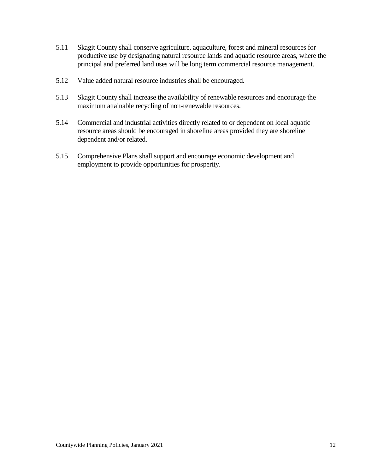- 5.11 Skagit County shall conserve agriculture, aquaculture, forest and mineral resources for productive use by designating natural resource lands and aquatic resource areas, where the principal and preferred land uses will be long term commercial resource management.
- 5.12 Value added natural resource industries shall be encouraged.
- 5.13 Skagit County shall increase the availability of renewable resources and encourage the maximum attainable recycling of non-renewable resources.
- 5.14 Commercial and industrial activities directly related to or dependent on local aquatic resource areas should be encouraged in shoreline areas provided they are shoreline dependent and/or related.
- 5.15 Comprehensive Plans shall support and encourage economic development and employment to provide opportunities for prosperity.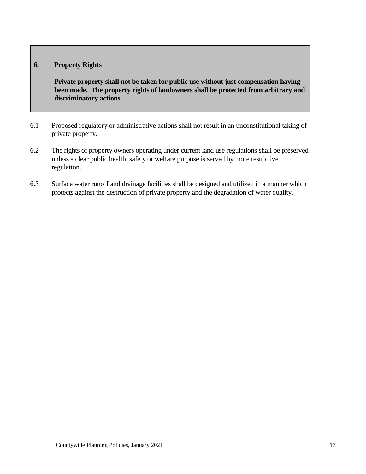#### **6. Property Rights**

**Private property shall not be taken for public use without just compensation having been made. The property rights of landowners shall be protected from arbitrary and discriminatory actions.**

- 6.1 Proposed regulatory or administrative actions shall not result in an unconstitutional taking of private property.
- 6.2 The rights of property owners operating under current land use regulations shall be preserved unless a clear public health, safety or welfare purpose is served by more restrictive regulation.
- 6.3 Surface water runoff and drainage facilities shall be designed and utilized in a manner which protects against the destruction of private property and the degradation of water quality.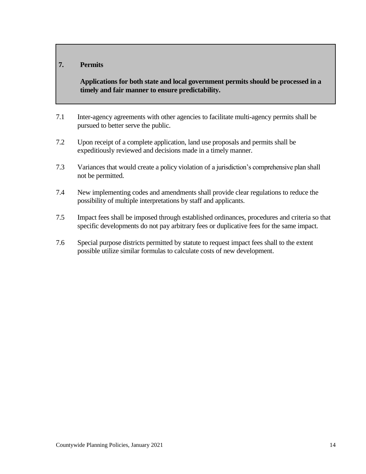#### **7. Permits**

**Applications for both state and local government permits should be processed in a timely and fair manner to ensure predictability.**

- 7.1 Inter-agency agreements with other agencies to facilitate multi-agency permits shall be pursued to better serve the public.
- 7.2 Upon receipt of a complete application, land use proposals and permits shall be expeditiously reviewed and decisions made in a timely manner.
- 7.3 Variances that would create a policy violation of a jurisdiction's comprehensive plan shall not be permitted.
- 7.4 New implementing codes and amendments shall provide clear regulations to reduce the possibility of multiple interpretations by staff and applicants.
- 7.5 Impact fees shall be imposed through established ordinances, procedures and criteria so that specific developments do not pay arbitrary fees or duplicative fees for the same impact.
- 7.6 Special purpose districts permitted by statute to request impact fees shall to the extent possible utilize similar formulas to calculate costs of new development.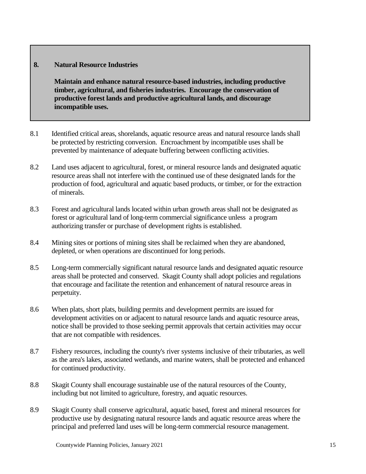#### **8. Natural Resource Industries**

**Maintain and enhance natural resource-based industries, including productive timber, agricultural, and fisheries industries. Encourage the conservation of productive forest lands and productive agricultural lands, and discourage incompatible uses.**

- 8.1 Identified critical areas, shorelands, aquatic resource areas and natural resource lands shall be protected by restricting conversion. Encroachment by incompatible uses shall be prevented by maintenance of adequate buffering between conflicting activities.
- 8.2 Land uses adjacent to agricultural, forest, or mineral resource lands and designated aquatic resource areas shall not interfere with the continued use of these designated lands for the production of food, agricultural and aquatic based products, or timber, or for the extraction of minerals.
- 8.3 Forest and agricultural lands located within urban growth areas shall not be designated as forest or agricultural land of long-term commercial significance unless a program authorizing transfer or purchase of development rights is established.
- 8.4 Mining sites or portions of mining sites shall be reclaimed when they are abandoned, depleted, or when operations are discontinued for long periods.
- 8.5 Long-term commercially significant natural resource lands and designated aquatic resource areas shall be protected and conserved. Skagit County shall adopt policies and regulations that encourage and facilitate the retention and enhancement of natural resource areas in perpetuity.
- 8.6 When plats, short plats, building permits and development permits are issued for development activities on or adjacent to natural resource lands and aquatic resource areas, notice shall be provided to those seeking permit approvals that certain activities may occur that are not compatible with residences.
- 8.7 Fishery resources, including the county's river systems inclusive of their tributaries, as well as the area's lakes, associated wetlands, and marine waters, shall be protected and enhanced for continued productivity.
- 8.8 Skagit County shall encourage sustainable use of the natural resources of the County, including but not limited to agriculture, forestry, and aquatic resources.
- 8.9 Skagit County shall conserve agricultural, aquatic based, forest and mineral resources for productive use by designating natural resource lands and aquatic resource areas where the principal and preferred land uses will be long-term commercial resource management.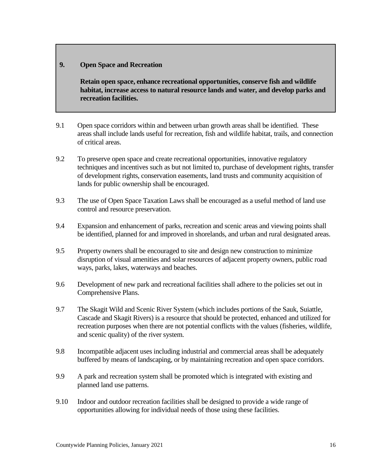#### **9. Open Space and Recreation**

**Retain open space, enhance recreational opportunities, conserve fish and wildlife habitat, increase access to natural resource lands and water, and develop parks and recreation facilities.**

- 9.1 Open space corridors within and between urban growth areas shall be identified. These areas shall include lands useful for recreation, fish and wildlife habitat, trails, and connection of critical areas.
- 9.2 To preserve open space and create recreational opportunities, innovative regulatory techniques and incentives such as but not limited to, purchase of development rights, transfer of development rights, conservation easements, land trusts and community acquisition of lands for public ownership shall be encouraged.
- 9.3 The use of Open Space Taxation Laws shall be encouraged as a useful method of land use control and resource preservation.
- 9.4 Expansion and enhancement of parks, recreation and scenic areas and viewing points shall be identified, planned for and improved in shorelands, and urban and rural designated areas.
- 9.5 Property owners shall be encouraged to site and design new construction to minimize disruption of visual amenities and solar resources of adjacent property owners, public road ways, parks, lakes, waterways and beaches.
- 9.6 Development of new park and recreational facilities shall adhere to the policies set out in Comprehensive Plans.
- 9.7 The Skagit Wild and Scenic River System (which includes portions of the Sauk, Suiattle, Cascade and Skagit Rivers) is a resource that should be protected, enhanced and utilized for recreation purposes when there are not potential conflicts with the values (fisheries, wildlife, and scenic quality) of the river system.
- 9.8 Incompatible adjacent uses including industrial and commercial areas shall be adequately buffered by means of landscaping, or by maintaining recreation and open space corridors.
- 9.9 A park and recreation system shall be promoted which is integrated with existing and planned land use patterns.
- 9.10 Indoor and outdoor recreation facilities shall be designed to provide a wide range of opportunities allowing for individual needs of those using these facilities.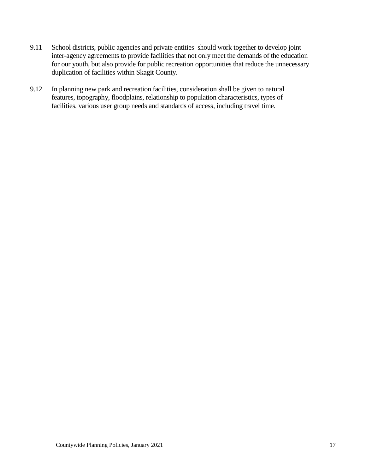- 9.11 School districts, public agencies and private entities should work together to develop joint inter-agency agreements to provide facilities that not only meet the demands of the education for our youth, but also provide for public recreation opportunities that reduce the unnecessary duplication of facilities within Skagit County.
- 9.12 In planning new park and recreation facilities, consideration shall be given to natural features, topography, floodplains, relationship to population characteristics, types of facilities, various user group needs and standards of access, including travel time.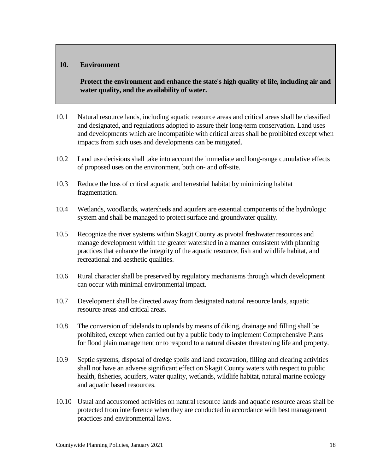#### **10. Environment**

**Protect the environment and enhance the state's high quality of life, including air and water quality, and the availability of water.**

- 10.1 Natural resource lands, including aquatic resource areas and critical areas shall be classified and designated, and regulations adopted to assure their long-term conservation. Land uses and developments which are incompatible with critical areas shall be prohibited except when impacts from such uses and developments can be mitigated.
- 10.2 Land use decisions shall take into account the immediate and long-range cumulative effects of proposed uses on the environment, both on- and off-site.
- 10.3 Reduce the loss of critical aquatic and terrestrial habitat by minimizing habitat fragmentation.
- 10.4 Wetlands, woodlands, watersheds and aquifers are essential components of the hydrologic system and shall be managed to protect surface and groundwater quality.
- 10.5 Recognize the river systems within Skagit County as pivotal freshwater resources and manage development within the greater watershed in a manner consistent with planning practices that enhance the integrity of the aquatic resource, fish and wildlife habitat, and recreational and aesthetic qualities.
- 10.6 Rural character shall be preserved by regulatory mechanisms through which development can occur with minimal environmental impact.
- 10.7 Development shall be directed away from designated natural resource lands, aquatic resource areas and critical areas.
- 10.8 The conversion of tidelands to uplands by means of diking, drainage and filling shall be prohibited, except when carried out by a public body to implement Comprehensive Plans for flood plain management or to respond to a natural disaster threatening life and property.
- 10.9 Septic systems, disposal of dredge spoils and land excavation, filling and clearing activities shall not have an adverse significant effect on Skagit County waters with respect to public health, fisheries, aquifers, water quality, wetlands, wildlife habitat, natural marine ecology and aquatic based resources.
- 10.10 Usual and accustomed activities on natural resource lands and aquatic resource areas shall be protected from interference when they are conducted in accordance with best management practices and environmental laws.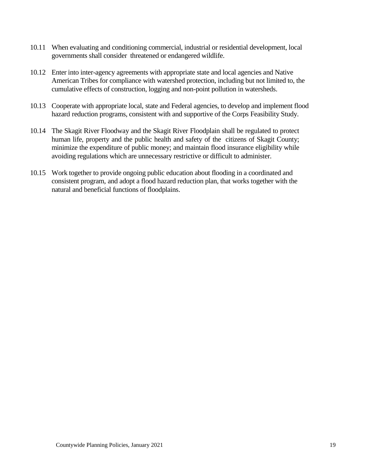- 10.11 When evaluating and conditioning commercial, industrial or residential development, local governments shall consider threatened or endangered wildlife.
- 10.12 Enter into inter-agency agreements with appropriate state and local agencies and Native American Tribes for compliance with watershed protection, including but not limited to, the cumulative effects of construction, logging and non-point pollution in watersheds.
- 10.13 Cooperate with appropriate local, state and Federal agencies, to develop and implement flood hazard reduction programs, consistent with and supportive of the Corps Feasibility Study.
- 10.14 The Skagit River Floodway and the Skagit River Floodplain shall be regulated to protect human life, property and the public health and safety of the citizens of Skagit County; minimize the expenditure of public money; and maintain flood insurance eligibility while avoiding regulations which are unnecessary restrictive or difficult to administer.
- 10.15 Work together to provide ongoing public education about flooding in a coordinated and consistent program, and adopt a flood hazard reduction plan, that works together with the natural and beneficial functions of floodplains.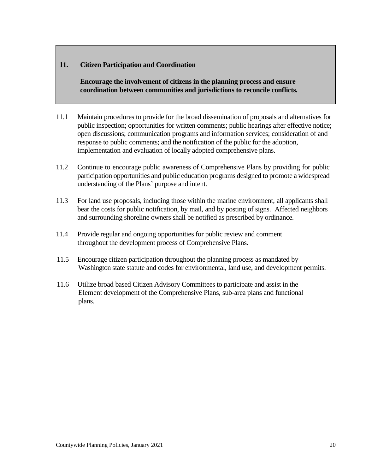#### **11. Citizen Participation and Coordination**

**Encourage the involvement of citizens in the planning process and ensure coordination between communities and jurisdictions to reconcile conflicts.**

- 11.1 Maintain procedures to provide for the broad dissemination of proposals and alternatives for public inspection; opportunities for written comments; public hearings after effective notice; open discussions; communication programs and information services; consideration of and response to public comments; and the notification of the public for the adoption, implementation and evaluation of locally adopted comprehensive plans.
- 11.2 Continue to encourage public awareness of Comprehensive Plans by providing for public participation opportunities and public education programs designed to promote a widespread understanding of the Plans' purpose and intent.
- 11.3 For land use proposals, including those within the marine environment, all applicants shall bear the costs for public notification, by mail, and by posting of signs. Affected neighbors and surrounding shoreline owners shall be notified as prescribed by ordinance.
- 11.4 Provide regular and ongoing opportunities for public review and comment throughout the development process of Comprehensive Plans.
- 11.5 Encourage citizen participation throughout the planning process as mandated by Washington state statute and codes for environmental, land use, and development permits.
- 11.6 Utilize broad based Citizen Advisory Committees to participate and assist in the Element development of the Comprehensive Plans, sub-area plans and functional plans.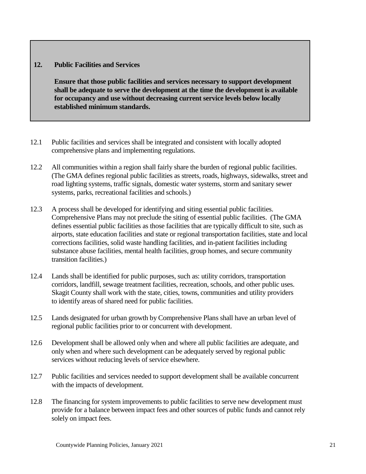#### **12. Public Facilities and Services**

**Ensure that those public facilities and services necessary to support development shall be adequate to serve the development at the time the development is available for occupancy and use without decreasing current service levels below locally established minimum standards.**

- 12.1 Public facilities and services shall be integrated and consistent with locally adopted comprehensive plans and implementing regulations.
- 12.2 All communities within a region shall fairly share the burden of regional public facilities. (The GMA defines regional public facilities as streets, roads, highways, sidewalks, street and road lighting systems, traffic signals, domestic water systems, storm and sanitary sewer systems, parks, recreational facilities and schools.)
- 12.3 A process shall be developed for identifying and siting essential public facilities. Comprehensive Plans may not preclude the siting of essential public facilities. (The GMA defines essential public facilities as those facilities that are typically difficult to site, such as airports, state education facilities and state or regional transportation facilities, state and local corrections facilities, solid waste handling facilities, and in-patient facilities including substance abuse facilities, mental health facilities, group homes, and secure community transition facilities.)
- 12.4 Lands shall be identified for public purposes, such as: utility corridors, transportation corridors, landfill, sewage treatment facilities, recreation, schools, and other public uses. Skagit County shall work with the state, cities, towns, communities and utility providers to identify areas of shared need for public facilities.
- 12.5 Lands designated for urban growth by Comprehensive Plans shall have an urban level of regional public facilities prior to or concurrent with development.
- 12.6 Development shall be allowed only when and where all public facilities are adequate, and only when and where such development can be adequately served by regional public services without reducing levels of service elsewhere.
- 12.7 Public facilities and services needed to support development shall be available concurrent with the impacts of development.
- 12.8 The financing for system improvements to public facilities to serve new development must provide for a balance between impact fees and other sources of public funds and cannot rely solely on impact fees.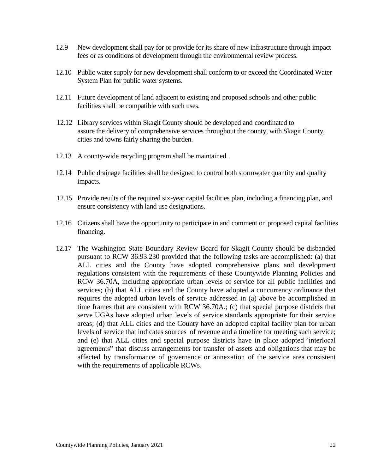- 12.9 New development shall pay for or provide for its share of new infrastructure through impact fees or as conditions of development through the environmental review process.
- 12.10 Public water supply for new development shall conform to or exceed the Coordinated Water System Plan for public water systems.
- 12.11 Future development of land adjacent to existing and proposed schools and other public facilities shall be compatible with such uses.
- 12.12 Library services within Skagit County should be developed and coordinated to assure the delivery of comprehensive services throughout the county, with Skagit County, cities and towns fairly sharing the burden.
- 12.13 A county-wide recycling program shall be maintained.
- 12.14 Public drainage facilities shall be designed to control both stormwater quantity and quality impacts.
- 12.15 Provide results of the required six-year capital facilities plan, including a financing plan, and ensure consistency with land use designations.
- 12.16 Citizens shall have the opportunity to participate in and comment on proposed capital facilities financing.
- 12.17 The Washington State Boundary Review Board for Skagit County should be disbanded pursuant to RCW 36.93.230 provided that the following tasks are accomplished: (a) that ALL cities and the County have adopted comprehensive plans and development regulations consistent with the requirements of these Countywide Planning Policies and RCW 36.70A, including appropriate urban levels of service for all public facilities and services; (b) that ALL cities and the County have adopted a concurrency ordinance that requires the adopted urban levels of service addressed in (a) above be accomplished in time frames that are consistent with RCW 36.70A.; (c) that special purpose districts that serve UGAs have adopted urban levels of service standards appropriate for their service areas; (d) that ALL cities and the County have an adopted capital facility plan for urban levels of service that indicates sources of revenue and a timeline for meeting such service; and (e) that ALL cities and special purpose districts have in place adopted "interlocal agreements" that discuss arrangements for transfer of assets and obligations that may be affected by transformance of governance or annexation of the service area consistent with the requirements of applicable RCWs.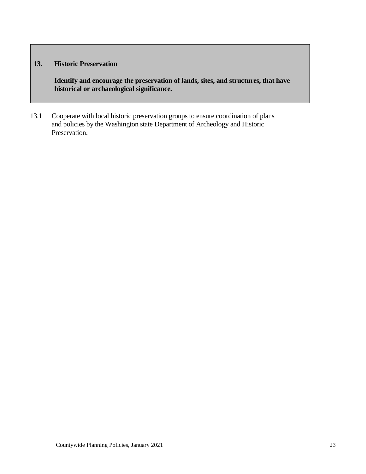#### **13. Historic Preservation**

**Identify and encourage the preservation of lands, sites, and structures, that have historical or archaeological significance.**

13.1 Cooperate with local historic preservation groups to ensure coordination of plans and policies by the Washington state Department of Archeology and Historic Preservation.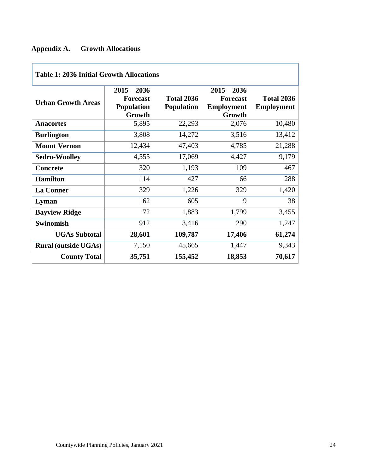### **Appendix A. Growth Allocations**

| <b>Table 1: 2036 Initial Growth Allocations</b> |                                                                 |                                        |                                                                 |                                        |  |  |
|-------------------------------------------------|-----------------------------------------------------------------|----------------------------------------|-----------------------------------------------------------------|----------------------------------------|--|--|
| <b>Urban Growth Areas</b>                       | $2015 - 2036$<br><b>Forecast</b><br><b>Population</b><br>Growth | <b>Total 2036</b><br><b>Population</b> | $2015 - 2036$<br><b>Forecast</b><br><b>Employment</b><br>Growth | <b>Total 2036</b><br><b>Employment</b> |  |  |
| <b>Anacortes</b>                                | 5,895                                                           | 22,293                                 | 2,076                                                           | 10,480                                 |  |  |
| <b>Burlington</b>                               | 3,808                                                           | 14,272                                 | 3,516                                                           | 13,412                                 |  |  |
| <b>Mount Vernon</b>                             | 12,434                                                          | 47,403                                 | 4,785                                                           | 21,288                                 |  |  |
| <b>Sedro-Woolley</b>                            | 4,555                                                           | 17,069                                 | 4,427                                                           | 9,179                                  |  |  |
| <b>Concrete</b>                                 | 320                                                             | 1,193                                  | 109                                                             | 467                                    |  |  |
| <b>Hamilton</b>                                 | 114                                                             | 427                                    | 66                                                              | 288                                    |  |  |
| <b>La Conner</b>                                | 329                                                             | 1,226                                  | 329                                                             | 1,420                                  |  |  |
| Lyman                                           | 162                                                             | 605                                    | 9                                                               | 38                                     |  |  |
| <b>Bayview Ridge</b>                            | 72                                                              | 1,883                                  | 1,799                                                           | 3,455                                  |  |  |
| <b>Swinomish</b>                                | 912                                                             | 3,416                                  | 290                                                             | 1,247                                  |  |  |
| <b>UGAs Subtotal</b>                            | 28,601                                                          | 109,787                                | 17,406                                                          | 61,274                                 |  |  |
| <b>Rural (outside UGAs)</b>                     | 7,150                                                           | 45,665                                 | 1,447                                                           | 9,343                                  |  |  |
| <b>County Total</b>                             | 35,751                                                          | 155,452                                | 18,853                                                          | 70,617                                 |  |  |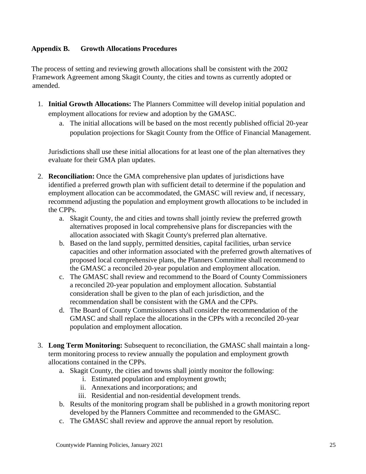#### **Appendix B. Growth Allocations Procedures**

The process of setting and reviewing growth allocations shall be consistent with the 2002 Framework Agreement among Skagit County, the cities and towns as currently adopted or amended.

- 1. **Initial Growth Allocations:** The Planners Committee will develop initial population and employment allocations for review and adoption by the GMASC.
	- a. The initial allocations will be based on the most recently published official 20-year population projections for Skagit County from the Office of Financial Management.

Jurisdictions shall use these initial allocations for at least one of the plan alternatives they evaluate for their GMA plan updates.

- 2. **Reconciliation:** Once the GMA comprehensive plan updates of jurisdictions have identified a preferred growth plan with sufficient detail to determine if the population and employment allocation can be accommodated, the GMASC will review and, if necessary, recommend adjusting the population and employment growth allocations to be included in the CPPs.
	- a. Skagit County, the and cities and towns shall jointly review the preferred growth alternatives proposed in local comprehensive plans for discrepancies with the allocation associated with Skagit County's preferred plan alternative.
	- b. Based on the land supply, permitted densities, capital facilities, urban service capacities and other information associated with the preferred growth alternatives of proposed local comprehensive plans, the Planners Committee shall recommend to the GMASC a reconciled 20-year population and employment allocation.
	- c. The GMASC shall review and recommend to the Board of County Commissioners a reconciled 20-year population and employment allocation. Substantial consideration shall be given to the plan of each jurisdiction, and the recommendation shall be consistent with the GMA and the CPPs.
	- d. The Board of County Commissioners shall consider the recommendation of the GMASC and shall replace the allocations in the CPPs with a reconciled 20-year population and employment allocation.
- 3. **Long Term Monitoring:** Subsequent to reconciliation, the GMASC shall maintain a longterm monitoring process to review annually the population and employment growth allocations contained in the CPPs.
	- a. Skagit County, the cities and towns shall jointly monitor the following:
		- i. Estimated population and employment growth;
		- ii. Annexations and incorporations; and
		- iii. Residential and non-residential development trends.
	- b. Results of the monitoring program shall be published in a growth monitoring report developed by the Planners Committee and recommended to the GMASC.
	- c. The GMASC shall review and approve the annual report by resolution.